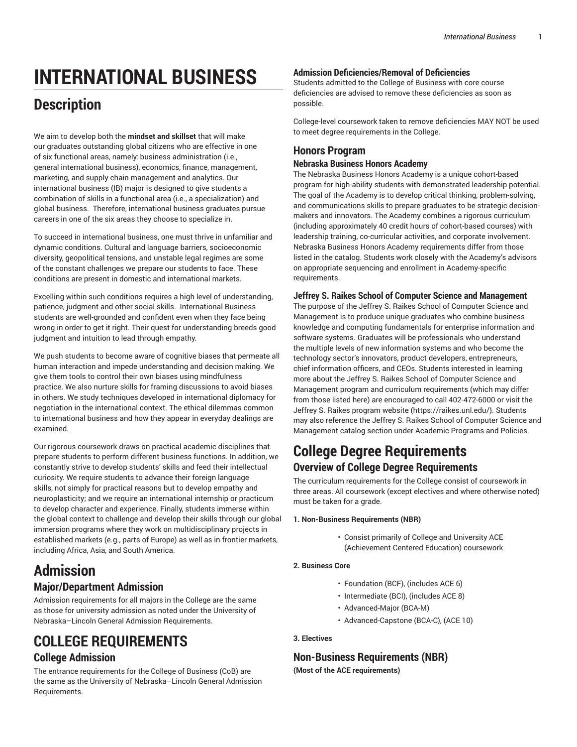# **INTERNATIONAL BUSINESS**

## **Description**

We aim to develop both the **mindset and skillset** that will make our graduates outstanding global citizens who are effective in one of six functional areas, namely: business administration (i.e., general international business), economics, finance, management, marketing, and supply chain management and analytics. Our international business (IB) major is designed to give students a combination of skills in a functional area (i.e., a specialization) and global business. Therefore, international business graduates pursue careers in one of the six areas they choose to specialize in.

To succeed in international business, one must thrive in unfamiliar and dynamic conditions. Cultural and language barriers, socioeconomic diversity, geopolitical tensions, and unstable legal regimes are some of the constant challenges we prepare our students to face. These conditions are present in domestic and international markets.

Excelling within such conditions requires a high level of understanding, patience, judgment and other social skills. International Business students are well-grounded and confident even when they face being wrong in order to get it right. Their quest for understanding breeds good judgment and intuition to lead through empathy.

We push students to become aware of cognitive biases that permeate all human interaction and impede understanding and decision making. We give them tools to control their own biases using mindfulness practice. We also nurture skills for framing discussions to avoid biases in others. We study techniques developed in international diplomacy for negotiation in the international context. The ethical dilemmas common to international business and how they appear in everyday dealings are examined.

Our rigorous coursework draws on practical academic disciplines that prepare students to perform different business functions. In addition, we constantly strive to develop students' skills and feed their intellectual curiosity. We require students to advance their foreign language skills, not simply for practical reasons but to develop empathy and neuroplasticity; and we require an international internship or practicum to develop character and experience. Finally, students immerse within the global context to challenge and develop their skills through our global immersion programs where they work on multidisciplinary projects in established markets (e.g., parts of Europe) as well as in frontier markets, including Africa, Asia, and South America.

## **Admission Major/Department Admission**

Admission requirements for all majors in the College are the same as those for university admission as noted under the University of Nebraska–Lincoln General Admission Requirements.

## **COLLEGE REQUIREMENTS College Admission**

The entrance requirements for the College of Business (CoB) are the same as the University of Nebraska–Lincoln General Admission Requirements.

### **Admission Deficiencies/Removal of Deficiencies**

Students admitted to the College of Business with core course deficiencies are advised to remove these deficiencies as soon as possible.

College-level coursework taken to remove deficiencies MAY NOT be used to meet degree requirements in the College.

## **Honors Program**

#### **Nebraska Business Honors Academy**

The Nebraska Business Honors Academy is a unique cohort-based program for high-ability students with demonstrated leadership potential. The goal of the Academy is to develop critical thinking, problem-solving, and communications skills to prepare graduates to be strategic decisionmakers and innovators. The Academy combines a rigorous curriculum (including approximately 40 credit hours of cohort-based courses) with leadership training, co-curricular activities, and corporate involvement. Nebraska Business Honors Academy requirements differ from those listed in the catalog. Students work closely with the Academy's advisors on appropriate sequencing and enrollment in Academy-specific requirements.

### **Jeffrey S. Raikes School of Computer Science and Management**

The purpose of the Jeffrey S. Raikes School of Computer Science and Management is to produce unique graduates who combine business knowledge and computing fundamentals for enterprise information and software systems. Graduates will be professionals who understand the multiple levels of new information systems and who become the technology sector's innovators, product developers, entrepreneurs, chief information officers, and CEOs. Students interested in learning more about the Jeffrey S. Raikes School of Computer Science and Management program and curriculum requirements (which may differ from those listed here) are encouraged to call 402-472-6000 or visit the Jeffrey S. Raikes [program](https://raikes.unl.edu/) website ([https://raikes.unl.edu/\)](https://raikes.unl.edu/). Students may also reference the Jeffrey S. Raikes School of Computer Science and Management catalog section under Academic Programs and Policies.

## **College Degree Requirements Overview of College Degree Requirements**

The curriculum requirements for the College consist of coursework in three areas. All coursework (except electives and where otherwise noted) must be taken for a grade.

#### **1. Non-Business Requirements (NBR)**

• Consist primarily of College and University ACE (Achievement-Centered Education) coursework

#### **2. Business Core**

- Foundation (BCF), (includes ACE 6)
- Intermediate (BCI), (includes ACE 8)
- Advanced-Major (BCA-M)
- Advanced-Capstone (BCA-C), (ACE 10)

#### **3. Electives**

## **Non-Business Requirements (NBR)**

**(Most of the ACE requirements)**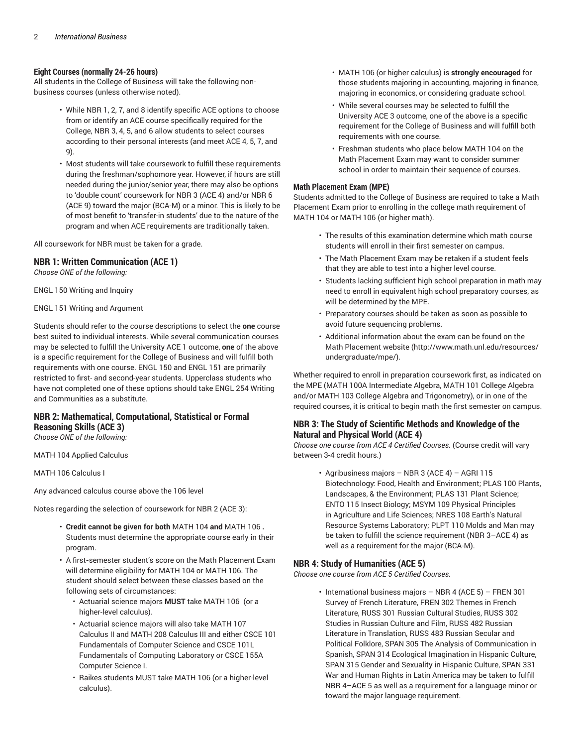#### **Eight Courses (normally 24-26 hours)**

All students in the College of Business will take the following nonbusiness courses (unless otherwise noted).

- While NBR 1, 2, 7, and 8 identify specific ACE options to choose from or identify an ACE course specifically required for the College, NBR 3, 4, 5, and 6 allow students to select courses according to their personal interests (and meet ACE 4, 5, 7, and 9).
- Most students will take coursework to fulfill these requirements during the freshman/sophomore year. However, if hours are still needed during the junior/senior year, there may also be options to 'double count' coursework for NBR 3 (ACE 4) and/or NBR 6 (ACE 9) toward the major (BCA-M) or a minor. This is likely to be of most benefit to 'transfer-in students' due to the nature of the program and when ACE requirements are traditionally taken.

All coursework for NBR must be taken for a grade.

#### **NBR 1: Written Communication (ACE 1)**

*Choose ONE of the following:*

ENGL 150 Writing and Inquiry

ENGL 151 Writing and Argument

Students should refer to the course descriptions to select the **one** course best suited to individual interests. While several communication courses may be selected to fulfill the University ACE 1 outcome, **one** of the above is a specific requirement for the College of Business and will fulfill both requirements with one course. ENGL 150 and ENGL 151 are primarily restricted to first- and second-year students. Upperclass students who have not completed one of these options should take ENGL 254 Writing and Communities as a substitute.

### **NBR 2: Mathematical, Computational, Statistical or Formal Reasoning Skills (ACE 3)**

*Choose ONE of the following:*

MATH 104 Applied Calculus

MATH 106 Calculus I

Any advanced calculus course above the 106 level

Notes regarding the selection of coursework for NBR 2 (ACE 3):

- **Credit cannot be given for both** MATH 104 **and** MATH 106 **.** Students must determine the appropriate course early in their program.
- A first**-**semester student's score on the Math Placement Exam will determine eligibility for MATH 104 or MATH 106. The student should select between these classes based on the following sets of circumstances:
	- Actuarial science majors **MUST** take MATH 106 (or a higher-level calculus).
	- Actuarial science majors will also take MATH 107 Calculus II and MATH 208 Calculus III and either CSCE 101 Fundamentals of Computer Science and CSCE 101L Fundamentals of Computing Laboratory or CSCE 155A Computer Science I.
	- Raikes students MUST take MATH 106 (or a higher-level calculus).
- MATH 106 (or higher calculus) is **strongly encouraged** for those students majoring in accounting, majoring in finance, majoring in economics, or considering graduate school.
- While several courses may be selected to fulfill the University ACE 3 outcome, one of the above is a specific requirement for the College of Business and will fulfill both requirements with one course.
- Freshman students who place below MATH 104 on the Math Placement Exam may want to consider summer school in order to maintain their sequence of courses.

#### **Math Placement Exam (MPE)**

Students admitted to the College of Business are required to take a Math Placement Exam prior to enrolling in the college math requirement of MATH 104 or MATH 106 (or higher math).

- The results of this examination determine which math course students will enroll in their first semester on campus.
- The Math Placement Exam may be retaken if a student feels that they are able to test into a higher level course.
- Students lacking sufficient high school preparation in math may need to enroll in equivalent high school preparatory courses, as will be determined by the MPE.
- Preparatory courses should be taken as soon as possible to avoid future sequencing problems.
- Additional information about the exam can be found on the Math Placement [website \(http://www.math.unl.edu/resources/](http://www.math.unl.edu/resources/undergraduate/mpe/) [undergraduate/mpe/](http://www.math.unl.edu/resources/undergraduate/mpe/)).

Whether required to enroll in preparation coursework first, as indicated on the MPE (MATH 100A Intermediate Algebra, MATH 101 College Algebra and/or MATH 103 College Algebra and Trigonometry), or in one of the required courses, it is critical to begin math the first semester on campus.

#### **NBR 3: The Study of Scientific Methods and Knowledge of the Natural and Physical World (ACE 4)**

*Choose one course from ACE 4 Certified Courses.* (Course credit will vary between 3-4 credit hours.)

> • Agribusiness majors – NBR 3 (ACE 4) – AGRI 115 Biotechnology: Food, Health and Environment; PLAS 100 Plants, Landscapes, & the Environment; PLAS 131 Plant Science; ENTO 115 Insect Biology; MSYM 109 Physical Principles in Agriculture and Life Sciences; NRES 108 Earth's Natural Resource Systems Laboratory; PLPT 110 Molds and Man may be taken to fulfill the science requirement (NBR 3–ACE 4) as well as a requirement for the major (BCA-M).

#### **NBR 4: Study of Humanities (ACE 5)**

*Choose one course from ACE 5 Certified Courses.*

• International business majors – NBR 4 (ACE 5) – FREN 301 Survey of French Literature, FREN 302 Themes in French Literature, RUSS 301 Russian Cultural Studies, RUSS 302 Studies in Russian Culture and Film, RUSS 482 Russian Literature in Translation, RUSS 483 Russian Secular and Political Folklore, SPAN 305 The Analysis of Communication in Spanish, SPAN 314 Ecological Imagination in Hispanic Culture, SPAN 315 Gender and Sexuality in Hispanic Culture, SPAN 331 War and Human Rights in Latin America may be taken to fulfill NBR 4–ACE 5 as well as a requirement for a language minor or toward the major language requirement.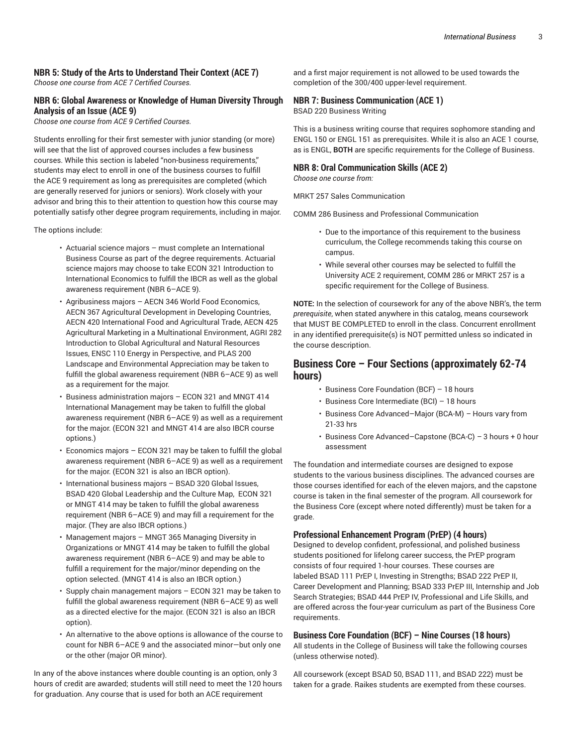## **NBR 5: Study of the Arts to Understand Their Context (ACE 7)**

*Choose one course from ACE 7 Certified Courses.*

#### **NBR 6: Global Awareness or Knowledge of Human Diversity Through Analysis of an Issue (ACE 9)**

*Choose one course from ACE 9 Certified Courses.*

Students enrolling for their first semester with junior standing (or more) will see that the list of approved courses includes a few business courses. While this section is labeled "non-business requirements," students may elect to enroll in one of the business courses to fulfill the ACE 9 requirement as long as prerequisites are completed (which are generally reserved for juniors or seniors). Work closely with your advisor and bring this to their attention to question how this course may potentially satisfy other degree program requirements, including in major.

The options include:

- Actuarial science majors must complete an International Business Course as part of the degree requirements. Actuarial science majors may choose to take ECON 321 Introduction to International Economics to fulfill the IBCR as well as the global awareness requirement (NBR 6–ACE 9).
- Agribusiness majors AECN 346 World Food Economics, AECN 367 Agricultural Development in Developing Countries, AECN 420 International Food and Agricultural Trade, AECN 425 Agricultural Marketing in a Multinational Environment, AGRI 282 Introduction to Global Agricultural and Natural Resources Issues, ENSC 110 Energy in Perspective, and PLAS 200 Landscape and Environmental Appreciation may be taken to fulfill the global awareness requirement (NBR 6–ACE 9) as well as a requirement for the major.
- Business administration majors ECON 321 and MNGT 414 International Management may be taken to fulfill the global awareness requirement (NBR 6–ACE 9) as well as a requirement for the major. (ECON 321 and MNGT 414 are also IBCR course options.)
- Economics majors  $-$  ECON 321 may be taken to fulfill the global awareness requirement (NBR 6–ACE 9) as well as a requirement for the major. (ECON 321 is also an IBCR option).
- International business majors BSAD 320 Global Issues, BSAD 420 Global Leadership and the Culture Map, ECON 321 or MNGT 414 may be taken to fulfill the global awareness requirement (NBR 6–ACE 9) and may fill a requirement for the major. (They are also IBCR options.)
- Management majors MNGT 365 Managing Diversity in Organizations or MNGT 414 may be taken to fulfill the global awareness requirement (NBR 6–ACE 9) and may be able to fulfill a requirement for the major/minor depending on the option selected. (MNGT 414 is also an IBCR option.)
- Supply chain management majors ECON 321 may be taken to fulfill the global awareness requirement (NBR 6–ACE 9) as well as a directed elective for the major. (ECON 321 is also an IBCR option).
- An alternative to the above options is allowance of the course to count for NBR 6–ACE 9 and the associated minor—but only one or the other (major OR minor).

In any of the above instances where double counting is an option, only 3 hours of credit are awarded; students will still need to meet the 120 hours for graduation. Any course that is used for both an ACE requirement

and a first major requirement is not allowed to be used towards the completion of the 300/400 upper-level requirement.

#### **NBR 7: Business Communication (ACE 1)**

BSAD 220 Business Writing

This is a business writing course that requires sophomore standing and ENGL 150 or ENGL 151 as prerequisites. While it is also an ACE 1 course, as is ENGL, **BOTH** are specific requirements for the College of Business.

#### **NBR 8: Oral Communication Skills (ACE 2)**

*Choose one course from:*

MRKT 257 Sales Communication

COMM 286 Business and Professional Communication

- Due to the importance of this requirement to the business curriculum, the College recommends taking this course on campus.
- While several other courses may be selected to fulfill the University ACE 2 requirement, COMM 286 or MRKT 257 is a specific requirement for the College of Business.

**NOTE:** In the selection of coursework for any of the above NBR's, the term *prerequisite*, when stated anywhere in this catalog, means coursework that MUST BE COMPLETED to enroll in the class. Concurrent enrollment in any identified prerequisite(s) is NOT permitted unless so indicated in the course description.

### **Business Core – Four Sections (approximately 62-74 hours)**

- Business Core Foundation (BCF) 18 hours
- Business Core Intermediate (BCI) 18 hours
- Business Core Advanced–Major (BCA-M) *–* Hours vary from 21-33 hrs
- Business Core Advanced–Capstone (BCA-C) *–* 3 hours + 0 hour assessment

The foundation and intermediate courses are designed to expose students to the various business disciplines. The advanced courses are those courses identified for each of the eleven majors, and the capstone course is taken in the final semester of the program. All coursework for the Business Core (except where noted differently) must be taken for a grade.

#### **Professional Enhancement Program (PrEP) (4 hours)**

Designed to develop confident, professional, and polished business students positioned for lifelong career success, the PrEP program consists of four required 1-hour courses. These courses are labeled BSAD 111 PrEP I, Investing in Strengths; BSAD 222 PrEP II, Career Development and Planning; BSAD 333 PrEP III, Internship and Job Search Strategies; BSAD 444 PrEP IV, Professional and Life Skills, and are offered across the four-year curriculum as part of the Business Core requirements.

#### **Business Core Foundation (BCF) – Nine Courses (18 hours)**

All students in the College of Business will take the following courses (unless otherwise noted).

All coursework (except BSAD 50, BSAD 111, and BSAD 222) must be taken for a grade. Raikes students are exempted from these courses.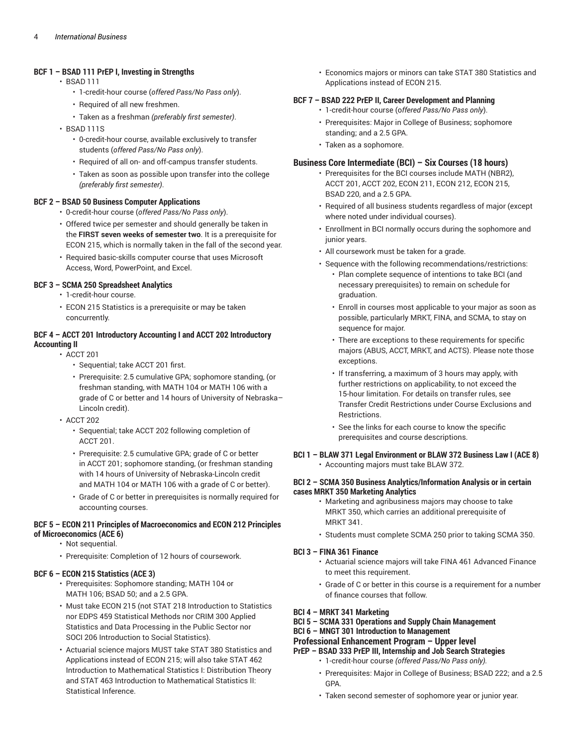#### **BCF 1 – BSAD 111 PrEP I, Investing in Strengths**

- BSAD 111
	- 1-credit-hour course (*offered Pass/No Pass only*).
	- Required of all new freshmen.
	- Taken as a freshman *(preferably first semester)*.
- BSAD 111S
	- 0-credit-hour course, available exclusively to transfer students (*offered Pass/No Pass only*).
	- Required of all on- and off-campus transfer students.
	- Taken as soon as possible upon transfer into the college *(preferably first semester)*.

#### **BCF 2 – BSAD 50 Business Computer Applications**

- 0-credit-hour course (*offered Pass/No Pass only*).
- Offered twice per semester and should generally be taken in the **FIRST seven weeks of semester two**. It is a prerequisite for ECON 215, which is normally taken in the fall of the second year.
- Required basic-skills computer course that uses Microsoft Access, Word, PowerPoint, and Excel.

#### **BCF 3 – SCMA 250 Spreadsheet Analytics**

- 1-credit-hour course.
- ECON 215 Statistics is a prerequisite or may be taken concurrently.

#### **BCF 4 – ACCT 201 Introductory Accounting I and ACCT 202 Introductory Accounting II**

- ACCT 201
	- Sequential; take ACCT 201 first.
	- Prerequisite: 2.5 cumulative GPA; sophomore standing, (or freshman standing, with MATH 104 or MATH 106 with a grade of C or better and 14 hours of University of Nebraska– Lincoln credit).
	- ACCT 202
		- Sequential; take ACCT 202 following completion of ACCT 201.
		- Prerequisite: 2.5 cumulative GPA; grade of C or better in ACCT 201; sophomore standing, (or freshman standing with 14 hours of University of Nebraska-Lincoln credit and MATH 104 or MATH 106 with a grade of C or better).
		- Grade of C or better in prerequisites is normally required for accounting courses.

#### **BCF 5 – ECON 211 Principles of Macroeconomics and ECON 212 Principles of Microeconomics (ACE 6)**

- Not sequential.
- Prerequisite: Completion of 12 hours of coursework.

#### **BCF 6 – ECON 215 Statistics (ACE 3)**

- Prerequisites: Sophomore standing; MATH 104 or MATH 106; BSAD 50; and a 2.5 GPA.
- Must take ECON 215 (not STAT 218 Introduction to Statistics nor EDPS 459 Statistical Methods nor CRIM 300 Applied Statistics and Data Processing in the Public Sector nor SOCI 206 Introduction to Social Statistics).
- Actuarial science majors MUST take STAT 380 Statistics and Applications instead of ECON 215; will also take STAT 462 Introduction to Mathematical Statistics I: Distribution Theory and STAT 463 Introduction to Mathematical Statistics II: Statistical Inference.

• Economics majors or minors can take STAT 380 Statistics and Applications instead of ECON 215.

#### **BCF 7 – BSAD 222 PrEP II, Career Development and Planning**

- 1-credit-hour course (o*ffered Pass/No Pass only*).
- Prerequisites: Major in College of Business; sophomore standing; and a 2.5 GPA.
- Taken as a sophomore.

#### **Business Core Intermediate (BCI) – Six Courses (18 hours)**

- Prerequisites for the BCI courses include MATH (NBR2), ACCT 201, ACCT 202, ECON 211, ECON 212, ECON 215, BSAD 220, and a 2.5 GPA.
- Required of all business students regardless of major (except where noted under individual courses).
- Enrollment in BCI normally occurs during the sophomore and junior years.
- All coursework must be taken for a grade.
- Sequence with the following recommendations/restrictions:
	- Plan complete sequence of intentions to take BCI (and necessary prerequisites) to remain on schedule for graduation.
	- Enroll in courses most applicable to your major as soon as possible, particularly MRKT, FINA, and SCMA, to stay on sequence for major.
	- There are exceptions to these requirements for specific majors (ABUS, ACCT, MRKT, and ACTS). Please note those exceptions.
	- If transferring, a maximum of 3 hours may apply, with further restrictions on applicability, to not exceed the 15-hour limitation. For details on transfer rules, see Transfer Credit Restrictions under Course Exclusions and Restrictions.
	- See the links for each course to know the specific prerequisites and course descriptions.

#### **BCI 1 – BLAW 371 Legal Environment or BLAW 372 Business Law I (ACE 8)** • Accounting majors must take BLAW 372.

#### **BCI 2 – SCMA 350 Business Analytics/Information Analysis or in certain cases MRKT 350 Marketing Analytics**

- Marketing and agribusiness majors may choose to take MRKT 350, which carries an additional prerequisite of MRKT 341.
- Students must complete SCMA 250 prior to taking SCMA 350.

#### **BCI 3 – FINA 361 Finance**

- Actuarial science majors will take FINA 461 Advanced Finance to meet this requirement.
- Grade of C or better in this course is a requirement for a number of finance courses that follow.

#### **BCI 4 – MRKT 341 Marketing**

**BCI 5 – SCMA 331 Operations and Supply Chain Management**

#### **BCI 6 – MNGT 301 Introduction to Management**

#### **Professional Enhancement Program – Upper level**

- **PrEP – BSAD 333 PrEP III, Internship and Job Search Strategies**
	- 1-credit-hour course *(offered Pass/No Pass only).*
	- Prerequisites: Major in College of Business; BSAD 222; and a 2.5 GPA.
	- Taken second semester of sophomore year or junior year.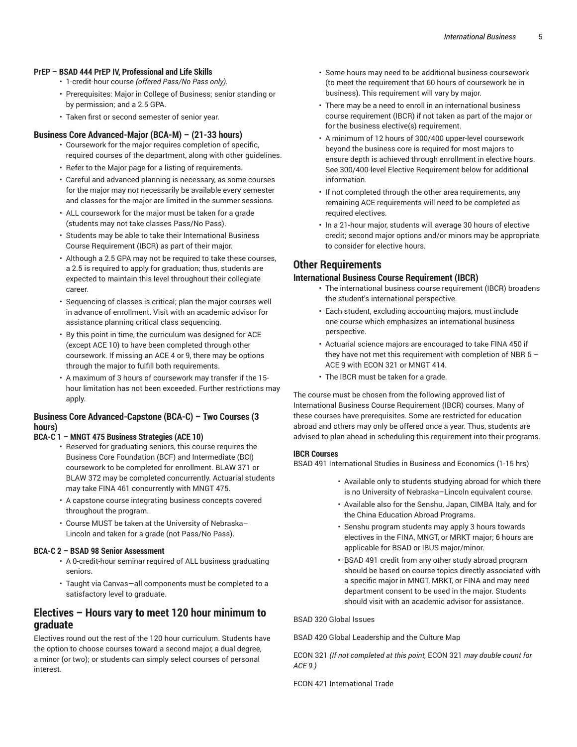#### **PrEP – BSAD 444 PrEP IV, Professional and Life Skills**

- 1-credit-hour course *(offered Pass/No Pass only).*
- Prerequisites: Major in College of Business; senior standing or by permission; and a 2.5 GPA.
- Taken first or second semester of senior year.

#### **Business Core Advanced-Major (BCA-M) – (21-33 hours)**

- Coursework for the major requires completion of specific, required courses of the department, along with other guidelines.
- Refer to the Major page for a listing of requirements.
- Careful and advanced planning is necessary, as some courses for the major may not necessarily be available every semester and classes for the major are limited in the summer sessions.
- ALL coursework for the major must be taken for a grade (students may not take classes Pass/No Pass).
- Students may be able to take their International Business Course Requirement (IBCR) as part of their major.
- Although a 2.5 GPA may not be required to take these courses, a 2.5 is required to apply for graduation; thus, students are expected to maintain this level throughout their collegiate career.
- Sequencing of classes is critical; plan the major courses well in advance of enrollment. Visit with an academic advisor for assistance planning critical class sequencing.
- By this point in time, the curriculum was designed for ACE (except ACE 10) to have been completed through other coursework. If missing an ACE 4 or 9, there may be options through the major to fulfill both requirements.
- A maximum of 3 hours of coursework may transfer if the 15 hour limitation has not been exceeded. Further restrictions may apply.

#### **Business Core Advanced-Capstone (BCA-C) – Two Courses (3 hours)**

#### **BCA-C 1 – MNGT 475 Business Strategies (ACE 10)**

- Reserved for graduating seniors, this course requires the Business Core Foundation (BCF) and Intermediate (BCI) coursework to be completed for enrollment. BLAW 371 or BLAW 372 may be completed concurrently. Actuarial students may take FINA 461 concurrently with MNGT 475.
- A capstone course integrating business concepts covered throughout the program.
- Course MUST be taken at the University of Nebraska– Lincoln and taken for a grade (not Pass/No Pass).

#### **BCA-C 2 – BSAD 98 Senior Assessment**

- A 0-credit-hour seminar required of ALL business graduating seniors.
- Taught via Canvas—all components must be completed to a satisfactory level to graduate.

### **Electives – Hours vary to meet 120 hour minimum to graduate**

Electives round out the rest of the 120 hour curriculum. Students have the option to choose courses toward a second major, a dual degree, a minor (or two); or students can simply select courses of personal interest.

- Some hours may need to be additional business coursework (to meet the requirement that 60 hours of coursework be in business). This requirement will vary by major.
- There may be a need to enroll in an international business course requirement (IBCR) if not taken as part of the major or for the business elective(s) requirement.
- A minimum of 12 hours of 300/400 upper-level coursework beyond the business core is required for most majors to ensure depth is achieved through enrollment in elective hours. See 300/400-level Elective Requirement below for additional information.
- If not completed through the other area requirements, any remaining ACE requirements will need to be completed as required electives.
- In a 21-hour major, students will average 30 hours of elective credit; second major options and/or minors may be appropriate to consider for elective hours.

## **Other Requirements**

#### **International Business Course Requirement (IBCR)**

- The international business course requirement (IBCR) broadens the student's international perspective.
- Each student, excluding accounting majors, must include one course which emphasizes an international business perspective.
- Actuarial science majors are encouraged to take FINA 450 if they have not met this requirement with completion of NBR 6 – ACE 9 with ECON 321 or MNGT 414.
- The IBCR must be taken for a grade.

The course must be chosen from the following approved list of International Business Course Requirement (IBCR) courses. Many of these courses have prerequisites. Some are restricted for education abroad and others may only be offered once a year. Thus, students are advised to plan ahead in scheduling this requirement into their programs.

#### **IBCR Courses**

BSAD 491 International Studies in Business and Economics (1-15 hrs)

- Available only to students studying abroad for which there is no University of Nebraska–Lincoln equivalent course.
- Available also for the Senshu, Japan, CIMBA Italy, and for the China Education Abroad Programs.
- Senshu program students may apply 3 hours towards electives in the FINA, MNGT, or MRKT major; 6 hours are applicable for BSAD or IBUS major/minor.
- BSAD 491 credit from any other study abroad program should be based on course topics directly associated with a specific major in MNGT, MRKT, or FINA and may need department consent to be used in the major. Students should visit with an academic advisor for assistance.

#### BSAD 320 Global Issues

BSAD 420 Global Leadership and the Culture Map

ECON 321 *(If not completed at this point,* ECON 321 *may double count for ACE 9.)*

ECON 421 International Trade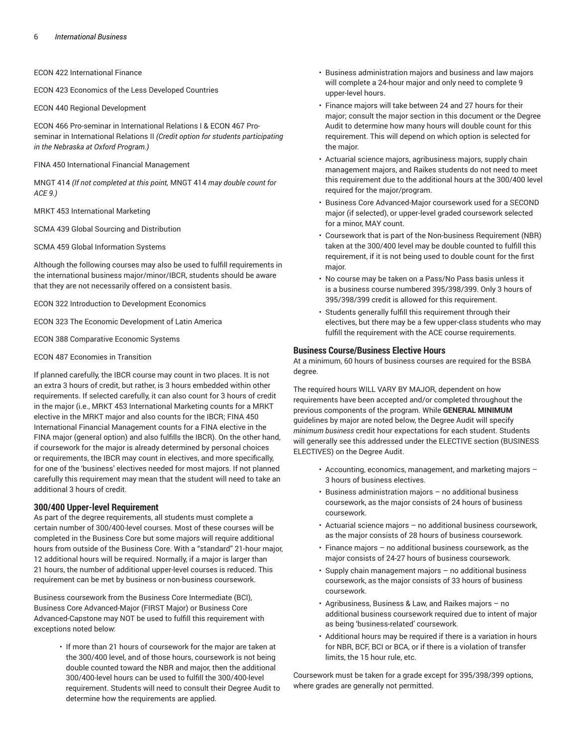ECON 422 International Finance

ECON 423 Economics of the Less Developed Countries

ECON 440 Regional Development

ECON 466 Pro-seminar in International Relations I & ECON 467 Proseminar in International Relations II *(Credit option for students participating in the Nebraska at Oxford Program.)*

FINA 450 International Financial Management

MNGT 414 *(If not completed at this point,* MNGT 414 *may double count for ACE 9.)*

MRKT 453 International Marketing

SCMA 439 Global Sourcing and Distribution

SCMA 459 Global Information Systems

Although the following courses may also be used to fulfill requirements in the international business major/minor/IBCR, students should be aware that they are not necessarily offered on a consistent basis.

ECON 322 Introduction to Development Economics

ECON 323 The Economic Development of Latin America

ECON 388 Comparative Economic Systems

ECON 487 Economies in Transition

If planned carefully, the IBCR course may count in two places. It is not an extra 3 hours of credit, but rather, is 3 hours embedded within other requirements. If selected carefully, it can also count for 3 hours of credit in the major (i.e., MRKT 453 International Marketing counts for a MRKT elective in the MRKT major and also counts for the IBCR; FINA 450 International Financial Management counts for a FINA elective in the FINA major (general option) and also fulfills the IBCR). On the other hand, if coursework for the major is already determined by personal choices or requirements, the IBCR may count in electives, and more specifically, for one of the 'business' electives needed for most majors. If not planned carefully this requirement may mean that the student will need to take an additional 3 hours of credit.

#### **300/400 Upper-level Requirement**

As part of the degree requirements, all students must complete a certain number of 300/400-level courses. Most of these courses will be completed in the Business Core but some majors will require additional hours from outside of the Business Core. With a "standard" 21-hour major, 12 additional hours will be required. Normally, if a major is larger than 21 hours, the number of additional upper-level courses is reduced. This requirement can be met by business or non-business coursework.

Business coursework from the Business Core Intermediate (BCI), Business Core Advanced-Major (FIRST Major) or Business Core Advanced-Capstone may NOT be used to fulfill this requirement with exceptions noted below:

> • If more than 21 hours of coursework for the major are taken at the 300/400 level, and of those hours, coursework is not being double counted toward the NBR and major, then the additional 300/400-level hours can be used to fulfill the 300/400-level requirement. Students will need to consult their Degree Audit to determine how the requirements are applied.

- Business administration majors and business and law majors will complete a 24-hour major and only need to complete 9 upper-level hours.
- Finance majors will take between 24 and 27 hours for their major; consult the major section in this document or the Degree Audit to determine how many hours will double count for this requirement. This will depend on which option is selected for the major.
- Actuarial science majors, agribusiness majors, supply chain management majors, and Raikes students do not need to meet this requirement due to the additional hours at the 300/400 level required for the major/program.
- Business Core Advanced-Major coursework used for a SECOND major (if selected), or upper-level graded coursework selected for a minor, MAY count.
- Coursework that is part of the Non-business Requirement (NBR) taken at the 300/400 level may be double counted to fulfill this requirement, if it is not being used to double count for the first major.
- No course may be taken on a Pass/No Pass basis unless it is a business course numbered 395/398/399. Only 3 hours of 395/398/399 credit is allowed for this requirement.
- Students generally fulfill this requirement through their electives, but there may be a few upper-class students who may fulfill the requirement with the ACE course requirements.

#### **Business Course/Business Elective Hours**

At a minimum, 60 hours of business courses are required for the BSBA degree.

The required hours WILL VARY BY MAJOR, dependent on how requirements have been accepted and/or completed throughout the previous components of the program. While **GENERAL MINIMUM** guidelines by major are noted below, the Degree Audit will specify *minimum business* credit hour expectations for each student. Students will generally see this addressed under the ELECTIVE section (BUSINESS ELECTIVES) on the Degree Audit.

- Accounting, economics, management, and marketing majors 3 hours of business electives.
- Business administration majors no additional business coursework, as the major consists of 24 hours of business coursework.
- Actuarial science majors no additional business coursework, as the major consists of 28 hours of business coursework.
- Finance majors  $-$  no additional business coursework, as the major consists of 24-27 hours of business coursework.
- Supply chain management majors no additional business coursework, as the major consists of 33 hours of business coursework.
- Agribusiness, Business & Law, and Raikes majors no additional business coursework required due to intent of major as being 'business-related' coursework.
- Additional hours may be required if there is a variation in hours for NBR, BCF, BCI or BCA, or if there is a violation of transfer limits, the 15 hour rule, etc.

Coursework must be taken for a grade except for 395/398/399 options, where grades are generally not permitted.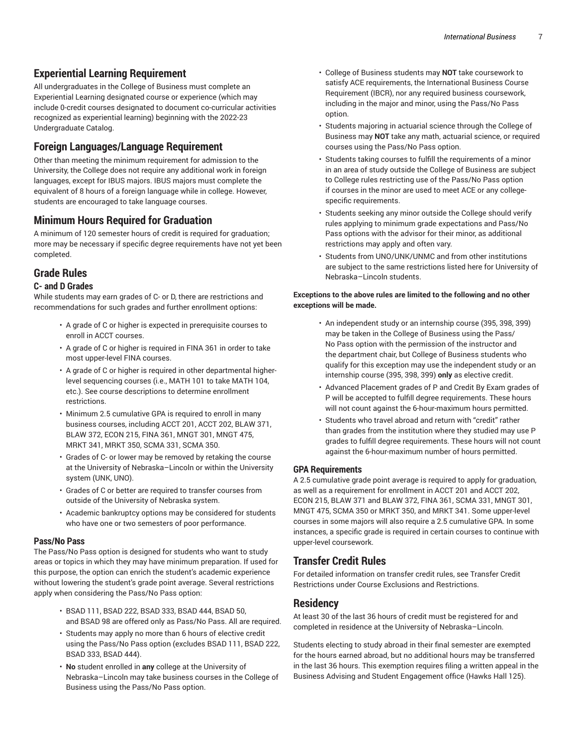## **Experiential Learning Requirement**

All undergraduates in the College of Business must complete an Experiential Learning designated course or experience (which may include 0-credit courses designated to document co-curricular activities recognized as experiential learning) beginning with the 2022-23 Undergraduate Catalog.

## **Foreign Languages/Language Requirement**

Other than meeting the minimum requirement for admission to the University, the College does not require any additional work in foreign languages, except for IBUS majors. IBUS majors must complete the equivalent of 8 hours of a foreign language while in college. However, students are encouraged to take language courses.

## **Minimum Hours Required for Graduation**

A minimum of 120 semester hours of credit is required for graduation; more may be necessary if specific degree requirements have not yet been completed.

## **Grade Rules**

#### **C- and D Grades**

While students may earn grades of C- or D, there are restrictions and recommendations for such grades and further enrollment options:

- A grade of C or higher is expected in prerequisite courses to enroll in ACCT courses.
- A grade of C or higher is required in FINA 361 in order to take most upper-level FINA courses.
- A grade of C or higher is required in other departmental higherlevel sequencing courses (i.e., MATH 101 to take MATH 104, etc.). See course descriptions to determine enrollment restrictions.
- Minimum 2.5 cumulative GPA is required to enroll in many business courses, including ACCT 201, ACCT 202, BLAW 371, BLAW 372, ECON 215, FINA 361, MNGT 301, MNGT 475, MRKT 341, MRKT 350, SCMA 331, SCMA 350.
- Grades of C- or lower may be removed by retaking the course at the University of Nebraska–Lincoln or within the University system (UNK, UNO).
- Grades of C or better are required to transfer courses from outside of the University of Nebraska system.
- Academic bankruptcy options may be considered for students who have one or two semesters of poor performance.

#### **Pass/No Pass**

The Pass/No Pass option is designed for students who want to study areas or topics in which they may have minimum preparation. If used for this purpose, the option can enrich the student's academic experience without lowering the student's grade point average. Several restrictions apply when considering the Pass/No Pass option:

- BSAD 111, BSAD 222, BSAD 333, BSAD 444, BSAD 50, and BSAD 98 are offered only as Pass/No Pass. All are required.
- Students may apply no more than 6 hours of elective credit using the Pass/No Pass option (excludes BSAD 111, BSAD 222, BSAD 333, BSAD 444).
- **No** student enrolled in **any** college at the University of Nebraska–Lincoln may take business courses in the College of Business using the Pass/No Pass option.
- College of Business students may **NOT** take coursework to satisfy ACE requirements, the International Business Course Requirement (IBCR), nor any required business coursework, including in the major and minor, using the Pass/No Pass option.
- Students majoring in actuarial science through the College of Business may **NOT** take any math, actuarial science, or required courses using the Pass/No Pass option.
- Students taking courses to fulfill the requirements of a minor in an area of study outside the College of Business are subject to College rules restricting use of the Pass/No Pass option if courses in the minor are used to meet ACE or any collegespecific requirements.
- Students seeking any minor outside the College should verify rules applying to minimum grade expectations and Pass/No Pass options with the advisor for their minor, as additional restrictions may apply and often vary.
- Students from UNO/UNK/UNMC and from other institutions are subject to the same restrictions listed here for University of Nebraska–Lincoln students.

#### **Exceptions to the above rules are limited to the following and no other exceptions will be made.**

- An independent study or an internship course (395, 398, 399) may be taken in the College of Business using the Pass/ No Pass option with the permission of the instructor and the department chair, but College of Business students who qualify for this exception may use the independent study or an internship course (395, 398, 399) **only** as elective credit.
- Advanced Placement grades of P and Credit By Exam grades of P will be accepted to fulfill degree requirements. These hours will not count against the 6-hour-maximum hours permitted.
- Students who travel abroad and return with "credit" rather than grades from the institution where they studied may use P grades to fulfill degree requirements. These hours will not count against the 6-hour-maximum number of hours permitted.

#### **GPA Requirements**

A 2.5 cumulative grade point average is required to apply for graduation, as well as a requirement for enrollment in ACCT 201 and ACCT 202, ECON 215, BLAW 371 and BLAW 372, FINA 361, SCMA 331, MNGT 301, MNGT 475, SCMA 350 or MRKT 350, and MRKT 341. Some upper-level courses in some majors will also require a 2.5 cumulative GPA. In some instances, a specific grade is required in certain courses to continue with upper-level coursework.

## **Transfer Credit Rules**

For detailed information on transfer credit rules, see Transfer Credit Restrictions under Course Exclusions and Restrictions.

## **Residency**

At least 30 of the last 36 hours of credit must be registered for and completed in residence at the University of Nebraska–Lincoln.

Students electing to study abroad in their final semester are exempted for the hours earned abroad, but no additional hours may be transferred in the last 36 hours. This exemption requires filing a written appeal in the Business Advising and Student Engagement office (Hawks Hall 125).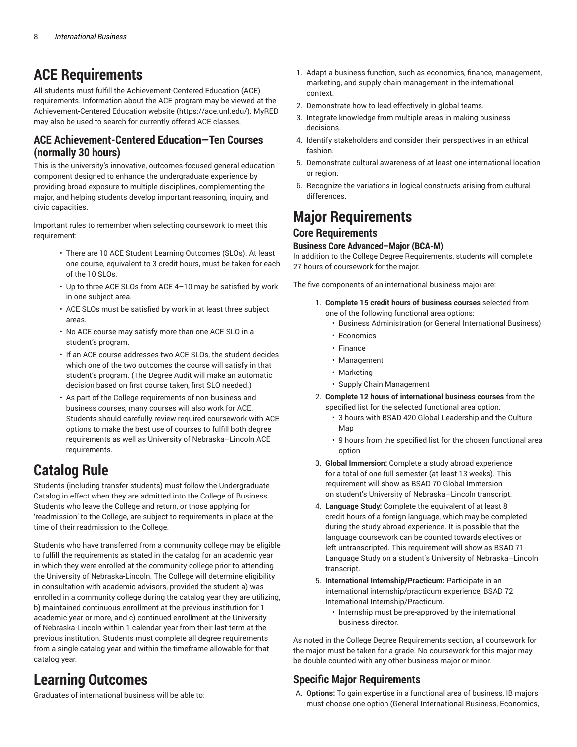## **ACE Requirements**

All students must fulfill the Achievement-Centered Education (ACE) requirements. Information about the ACE program may be viewed at the [Achievement-Centered](https://ace.unl.edu/) Education website [\(https://ace.unl.edu/](https://ace.unl.edu/)). MyRED may also be used to search for currently offered ACE classes.

## **ACE Achievement-Centered Education—Ten Courses (normally 30 hours)**

This is the university's innovative, outcomes-focused general education component designed to enhance the undergraduate experience by providing broad exposure to multiple disciplines, complementing the major, and helping students develop important reasoning, inquiry, and civic capacities.

Important rules to remember when selecting coursework to meet this requirement:

- There are 10 ACE Student Learning Outcomes (SLOs). At least one course, equivalent to 3 credit hours, must be taken for each of the 10 SLOs.
- Up to three ACE SLOs from ACE 4–10 may be satisfied by work in one subject area.
- ACE SLOs must be satisfied by work in at least three subject areas.
- No ACE course may satisfy more than one ACE SLO in a student's program.
- If an ACE course addresses two ACE SLOs, the student decides which one of the two outcomes the course will satisfy in that student's program. (The Degree Audit will make an automatic decision based on first course taken, first SLO needed.)
- As part of the College requirements of non-business and business courses, many courses will also work for ACE. Students should carefully review required coursework with ACE options to make the best use of courses to fulfill both degree requirements as well as University of Nebraska–Lincoln ACE requirements.

## **Catalog Rule**

Students (including transfer students) must follow the Undergraduate Catalog in effect when they are admitted into the College of Business. Students who leave the College and return, or those applying for 'readmission' to the College, are subject to requirements in place at the time of their readmission to the College.

Students who have transferred from a community college may be eligible to fulfill the requirements as stated in the catalog for an academic year in which they were enrolled at the community college prior to attending the University of Nebraska-Lincoln. The College will determine eligibility in consultation with academic advisors, provided the student a) was enrolled in a community college during the catalog year they are utilizing, b) maintained continuous enrollment at the previous institution for 1 academic year or more, and c) continued enrollment at the University of Nebraska-Lincoln within 1 calendar year from their last term at the previous institution. Students must complete all degree requirements from a single catalog year and within the timeframe allowable for that catalog year.

## **Learning Outcomes**

Graduates of international business will be able to:

- 1. Adapt a business function, such as economics, finance, management, marketing, and supply chain management in the international context.
- 2. Demonstrate how to lead effectively in global teams.
- 3. Integrate knowledge from multiple areas in making business decisions.
- 4. Identify stakeholders and consider their perspectives in an ethical fashion.
- 5. Demonstrate cultural awareness of at least one international location or region.
- 6. Recognize the variations in logical constructs arising from cultural differences.

## **Major Requirements**

### **Core Requirements**

#### **Business Core Advanced–Major (BCA-M)**

In addition to the College Degree Requirements, students will complete 27 hours of coursework for the major.

The five components of an international business major are:

- 1. **Complete 15 credit hours of business courses** selected from one of the following functional area options:
	- Business Administration (or General International Business)
	- Economics
	- Finance
	- Management
	- Marketing
	- Supply Chain Management
- 2. **Complete 12 hours of international business courses** from the specified list for the selected functional area option.
	- 3 hours with BSAD 420 Global Leadership and the Culture Man
	- 9 hours from the specified list for the chosen functional area option
- 3. **Global Immersion:** Complete a study abroad experience for a total of one full semester (at least 13 weeks). This requirement will show as BSAD 70 Global Immersion on student's University of Nebraska–Lincoln transcript.
- 4. **Language Study:** Complete the equivalent of at least 8 credit hours of a foreign language, which may be completed during the study abroad experience. It is possible that the language coursework can be counted towards electives or left untranscripted. This requirement will show as BSAD 71 Language Study on a student's University of Nebraska–Lincoln transcript.
- 5. **International Internship/Practicum:** Participate in an international internship/practicum experience, BSAD 72 International Internship/Practicum.
	- Internship must be pre-approved by the international business director.

As noted in the College Degree Requirements section, all coursework for the major must be taken for a grade. No coursework for this major may be double counted with any other business major or minor.

## **Specific Major Requirements**

A. **Options:** To gain expertise in a functional area of business, IB majors must choose one option (General International Business, Economics,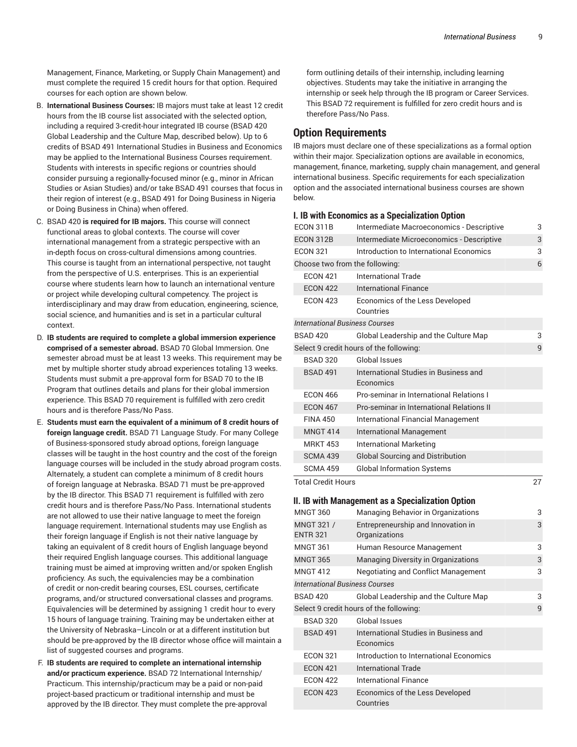Management, Finance, Marketing, or Supply Chain Management) and must complete the required 15 credit hours for that option. Required courses for each option are shown below.

- B. **International Business Courses:** IB majors must take at least 12 credit hours from the IB course list associated with the selected option, including a required 3-credit-hour integrated IB course (BSAD 420 Global Leadership and the Culture Map, described below). Up to 6 credits of BSAD 491 International Studies in Business and Economics may be applied to the International Business Courses requirement. Students with interests in specific regions or countries should consider pursuing a regionally-focused minor (e.g., minor in African Studies or Asian Studies) and/or take BSAD 491 courses that focus in their region of interest (e.g., BSAD 491 for Doing Business in Nigeria or Doing Business in China) when offered.
- C. BSAD 420 **is required for IB majors.** This course will connect functional areas to global contexts. The course will cover international management from a strategic perspective with an in-depth focus on cross-cultural dimensions among countries. This course is taught from an international perspective, not taught from the perspective of U.S. enterprises. This is an experiential course where students learn how to launch an international venture or project while developing cultural competency. The project is interdisciplinary and may draw from education, engineering, science, social science, and humanities and is set in a particular cultural context.
- D. **IB students are required to complete a global immersion experience comprised of a semester abroad.** BSAD 70 Global Immersion. One semester abroad must be at least 13 weeks. This requirement may be met by multiple shorter study abroad experiences totaling 13 weeks. Students must submit a pre-approval form for BSAD 70 to the IB Program that outlines details and plans for their global immersion experience. This BSAD 70 requirement is fulfilled with zero credit hours and is therefore Pass/No Pass.
- E. **Students must earn the equivalent of a minimum of 8 credit hours of foreign language credit.** BSAD 71 Language Study. For many College of Business-sponsored study abroad options, foreign language classes will be taught in the host country and the cost of the foreign language courses will be included in the study abroad program costs. Alternately, a student can complete a minimum of 8 credit hours of foreign language at Nebraska. BSAD 71 must be pre-approved by the IB director. This BSAD 71 requirement is fulfilled with zero credit hours and is therefore Pass/No Pass. International students are not allowed to use their native language to meet the foreign language requirement. International students may use English as their foreign language if English is not their native language by taking an equivalent of 8 credit hours of English language beyond their required English language courses. This additional language training must be aimed at improving written and/or spoken English proficiency. As such, the equivalencies may be a combination of credit or non-credit bearing courses, ESL courses, certificate programs, and/or structured conversational classes and programs. Equivalencies will be determined by assigning 1 credit hour to every 15 hours of language training. Training may be undertaken either at the University of Nebraska–Lincoln or at a different institution but should be pre-approved by the IB director whose office will maintain a list of suggested courses and programs.
- F. **IB students are required to complete an international internship and/or practicum experience.** BSAD 72 International Internship/ Practicum. This internship/practicum may be a paid or non-paid project-based practicum or traditional internship and must be approved by the IB director. They must complete the pre-approval

form outlining details of their internship, including learning objectives. Students may take the initiative in arranging the internship or seek help through the IB program or Career Services. This BSAD 72 requirement is fulfilled for zero credit hours and is therefore Pass/No Pass.

### **Option Requirements**

IB majors must declare one of these specializations as a formal option within their major. Specialization options are available in economics, management, finance, marketing, supply chain management, and general international business. Specific requirements for each specialization option and the associated international business courses are shown below.

#### **I. IB with Economics as a Specialization Option**

| ECON 311B                             | Intermediate Macroeconomics - Descriptive          | 3  |
|---------------------------------------|----------------------------------------------------|----|
| ECON 312B                             | Intermediate Microeconomics - Descriptive          | 3  |
| <b>ECON 321</b>                       | Introduction to International Economics            | 3  |
|                                       | Choose two from the following:                     | 6  |
| <b>ECON 421</b>                       | <b>International Trade</b>                         |    |
| <b>ECON 422</b>                       | <b>International Finance</b>                       |    |
| <b>ECON 423</b>                       | Economics of the Less Developed<br>Countries       |    |
| <b>International Business Courses</b> |                                                    |    |
| <b>BSAD 420</b>                       | Global Leadership and the Culture Map              | 3  |
|                                       | Select 9 credit hours of the following:            | 9  |
| <b>BSAD 320</b>                       | Global Issues                                      |    |
| <b>BSAD 491</b>                       | International Studies in Business and<br>Economics |    |
| <b>ECON 466</b>                       | Pro-seminar in International Relations I           |    |
| <b>ECON 467</b>                       | Pro-seminar in International Relations II          |    |
| <b>FINA 450</b>                       | <b>International Financial Management</b>          |    |
| <b>MNGT 414</b>                       | <b>International Management</b>                    |    |
| <b>MRKT 453</b>                       | <b>International Marketing</b>                     |    |
| <b>SCMA 439</b>                       | <b>Global Sourcing and Distribution</b>            |    |
| <b>SCMA 459</b>                       | <b>Global Information Systems</b>                  |    |
| <b>Total Credit Hours</b>             |                                                    | 27 |
|                                       | II. IB with Management as a Specialization Option  |    |
| <b>MNGT 360</b>                       | Managing Behavior in Organizations                 | 3  |
| MNGT 321 /                            | Entrepreneurship and Innovation in                 | 3  |
| <b>ENTR 321</b>                       | Organizations                                      |    |
|                                       |                                                    |    |
| <b>MNGT 361</b>                       | Human Resource Management                          | 3  |
| <b>MNGT 365</b>                       | Managing Diversity in Organizations                | 3  |
| <b>MNGT 412</b>                       |                                                    | 3  |
| <b>International Business Courses</b> | <b>Negotiating and Conflict Management</b>         |    |
| <b>BSAD 420</b>                       | Global Leadership and the Culture Map              | 3  |
|                                       | Select 9 credit hours of the following:            | 9  |
| <b>BSAD 320</b>                       | <b>Global Issues</b>                               |    |
| <b>BSAD 491</b>                       | International Studies in Business and<br>Economics |    |
| <b>ECON 321</b>                       | Introduction to International Economics            |    |
| <b>ECON 421</b>                       | <b>International Trade</b>                         |    |
| <b>ECON 422</b>                       | <b>International Finance</b>                       |    |
| <b>ECON 423</b>                       | Economics of the Less Developed<br>Countries       |    |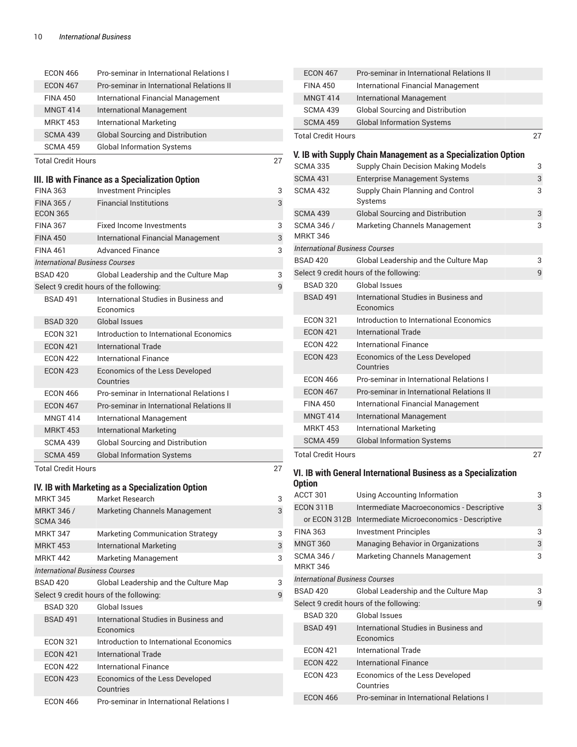| <b>ECON 466</b>                       | Pro-seminar in International Relations I                                  |    | <b>ECON 467</b>                       | Pro-seminar in International Relations II                      |                           |
|---------------------------------------|---------------------------------------------------------------------------|----|---------------------------------------|----------------------------------------------------------------|---------------------------|
| <b>ECON 467</b>                       | Pro-seminar in International Relations II                                 |    | <b>FINA 450</b>                       | International Financial Management                             |                           |
| <b>FINA 450</b>                       | International Financial Management                                        |    | <b>MNGT 414</b>                       | International Management                                       |                           |
| <b>MNGT 414</b>                       | International Management                                                  |    | <b>SCMA 439</b>                       | <b>Global Sourcing and Distribution</b>                        |                           |
| <b>MRKT 453</b>                       | <b>International Marketing</b>                                            |    | <b>SCMA 459</b>                       | <b>Global Information Systems</b>                              |                           |
| <b>SCMA 439</b>                       | <b>Global Sourcing and Distribution</b>                                   |    | <b>Total Credit Hours</b>             |                                                                | 27                        |
| <b>SCMA 459</b>                       | <b>Global Information Systems</b>                                         |    |                                       |                                                                |                           |
| <b>Total Credit Hours</b>             |                                                                           | 27 |                                       | V. IB with Supply Chain Management as a Specialization Option  |                           |
|                                       |                                                                           |    | <b>SCMA 335</b>                       | Supply Chain Decision Making Models                            | 3                         |
|                                       | III. IB with Finance as a Specialization Option                           |    | <b>SCMA 431</b>                       | <b>Enterprise Management Systems</b>                           | $\ensuremath{\mathsf{3}}$ |
| <b>FINA 363</b>                       | <b>Investment Principles</b>                                              | 3  | <b>SCMA 432</b>                       | Supply Chain Planning and Control                              | 3                         |
| FINA 365 /                            | <b>Financial Institutions</b>                                             | 3  |                                       | Systems                                                        |                           |
| <b>ECON 365</b>                       |                                                                           |    | <b>SCMA 439</b>                       | <b>Global Sourcing and Distribution</b>                        | 3                         |
| <b>FINA 367</b>                       | <b>Fixed Income Investments</b>                                           | 3  | SCMA 346 /<br><b>MRKT 346</b>         | Marketing Channels Management                                  | 3                         |
| <b>FINA 450</b>                       | <b>International Financial Management</b>                                 | 3  | <b>International Business Courses</b> |                                                                |                           |
| <b>FINA 461</b>                       | <b>Advanced Finance</b>                                                   | 3  | <b>BSAD 420</b>                       | Global Leadership and the Culture Map                          | 3                         |
| <b>International Business Courses</b> |                                                                           |    |                                       | Select 9 credit hours of the following:                        | 9                         |
| <b>BSAD 420</b>                       | Global Leadership and the Culture Map                                     | 3  | <b>BSAD 320</b>                       | Global Issues                                                  |                           |
|                                       | Select 9 credit hours of the following:                                   | 9  | <b>BSAD 491</b>                       | International Studies in Business and                          |                           |
| <b>BSAD 491</b>                       | International Studies in Business and<br>Economics                        |    |                                       | Economics                                                      |                           |
| <b>BSAD 320</b>                       | <b>Global Issues</b>                                                      |    | <b>ECON 321</b>                       | Introduction to International Economics                        |                           |
| <b>ECON 321</b>                       | Introduction to International Economics                                   |    | <b>ECON 421</b>                       | <b>International Trade</b>                                     |                           |
| <b>ECON 421</b>                       | <b>International Trade</b>                                                |    | <b>ECON 422</b>                       | <b>International Finance</b>                                   |                           |
| <b>ECON 422</b>                       | <b>International Finance</b>                                              |    | <b>ECON 423</b>                       | Economics of the Less Developed                                |                           |
| <b>ECON 423</b>                       | Economics of the Less Developed<br>Countries                              |    | <b>ECON 466</b>                       | Countries<br>Pro-seminar in International Relations I          |                           |
| <b>ECON 466</b>                       | Pro-seminar in International Relations I                                  |    | <b>ECON 467</b>                       | Pro-seminar in International Relations II                      |                           |
| <b>ECON 467</b>                       | Pro-seminar in International Relations II                                 |    | <b>FINA 450</b>                       | International Financial Management                             |                           |
| <b>MNGT 414</b>                       | International Management                                                  |    | <b>MNGT 414</b>                       | <b>International Management</b>                                |                           |
| <b>MRKT 453</b>                       | <b>International Marketing</b>                                            |    | <b>MRKT 453</b>                       | <b>International Marketing</b>                                 |                           |
| <b>SCMA 439</b>                       | <b>Global Sourcing and Distribution</b>                                   |    | <b>SCMA 459</b>                       | <b>Global Information Systems</b>                              |                           |
| <b>SCMA 459</b>                       | <b>Global Information Systems</b>                                         |    | <b>Total Credit Hours</b>             |                                                                | 27                        |
| <b>Total Credit Hours</b>             |                                                                           | 27 |                                       |                                                                |                           |
|                                       |                                                                           |    | <b>Option</b>                         | VI. IB with General International Business as a Specialization |                           |
|                                       | IV. IB with Marketing as a Specialization Option                          |    | ACCT 301                              | Using Accounting Information                                   | 3                         |
| <b>MRKT 345</b>                       | Market Research                                                           | 3  | ECON 311B                             | Intermediate Macroeconomics - Descriptive                      | 3                         |
| <b>MRKT 346 /</b><br>SCMA 346         | Marketing Channels Management                                             | 3  |                                       | or ECON 312B Intermediate Microeconomics - Descriptive         |                           |
| <b>MRKT 347</b>                       |                                                                           | 3  | <b>FINA 363</b>                       | <b>Investment Principles</b>                                   | 3                         |
| <b>MRKT 453</b>                       | <b>Marketing Communication Strategy</b><br><b>International Marketing</b> | 3  | <b>MNGT 360</b>                       | Managing Behavior in Organizations                             | 3                         |
| <b>MRKT 442</b>                       | Marketing Management                                                      | 3  | <b>SCMA 346 /</b>                     | Marketing Channels Management                                  | 3                         |
| <b>International Business Courses</b> |                                                                           |    | <b>MRKT 346</b>                       |                                                                |                           |
| <b>BSAD 420</b>                       | Global Leadership and the Culture Map                                     | 3  | <b>International Business Courses</b> |                                                                |                           |
|                                       | Select 9 credit hours of the following:                                   | 9  | <b>BSAD 420</b>                       | Global Leadership and the Culture Map                          | 3                         |
| <b>BSAD 320</b>                       | Global Issues                                                             |    |                                       | Select 9 credit hours of the following:                        | 9                         |
| <b>BSAD 491</b>                       | International Studies in Business and                                     |    | <b>BSAD 320</b>                       | <b>Global Issues</b>                                           |                           |
|                                       | Economics                                                                 |    | <b>BSAD 491</b>                       | International Studies in Business and                          |                           |
| <b>ECON 321</b>                       | Introduction to International Economics                                   |    | <b>ECON 421</b>                       | Economics<br><b>International Trade</b>                        |                           |
| <b>ECON 421</b>                       | <b>International Trade</b>                                                |    |                                       | <b>International Finance</b>                                   |                           |
| <b>ECON 422</b>                       | <b>International Finance</b>                                              |    | <b>ECON 422</b>                       |                                                                |                           |
| <b>ECON 423</b>                       | Economics of the Less Developed<br>Countries                              |    | <b>ECON 423</b>                       | Economics of the Less Developed<br>Countries                   |                           |
| <b>ECON 466</b>                       | Pro-seminar in International Relations I                                  |    | <b>ECON 466</b>                       | Pro-seminar in International Relations I                       |                           |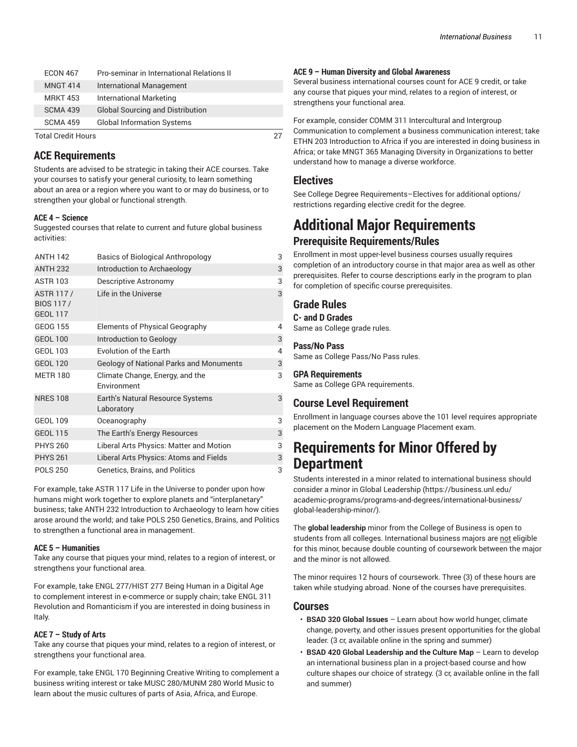| <b>ECON 467</b>           | Pro-seminar in International Relations II |  |
|---------------------------|-------------------------------------------|--|
| <b>MNGT 414</b>           | International Management                  |  |
| <b>MRKT 453</b>           | International Marketing                   |  |
| <b>SCMA 439</b>           | <b>Global Sourcing and Distribution</b>   |  |
| <b>SCMA 459</b>           | <b>Global Information Systems</b>         |  |
| <b>Total Credit Hours</b> |                                           |  |

### **ACE Requirements**

Students are advised to be strategic in taking their ACE courses. Take your courses to satisfy your general curiosity, to learn something about an area or a region where you want to or may do business, or to strengthen your global or functional strength.

#### **ACE 4 – Science**

Suggested courses that relate to current and future global business activities:

| <b>ANTH 142</b>                                         | <b>Basics of Biological Anthropology</b>       | 3 |
|---------------------------------------------------------|------------------------------------------------|---|
| <b>ANTH 232</b>                                         | Introduction to Archaeology                    | 3 |
| <b>ASTR 103</b>                                         | Descriptive Astronomy                          | 3 |
| <b>ASTR 117/</b><br><b>BIOS 117/</b><br><b>GEOL 117</b> | Life in the Universe                           | 3 |
| <b>GEOG 155</b>                                         | Elements of Physical Geography                 | 4 |
| <b>GEOL 100</b>                                         | Introduction to Geology                        | 3 |
| <b>GEOL 103</b>                                         | Evolution of the Earth                         | 4 |
| <b>GEOL 120</b>                                         | <b>Geology of National Parks and Monuments</b> | 3 |
| <b>METR 180</b>                                         | Climate Change, Energy, and the<br>Environment | 3 |
| <b>NRES 108</b>                                         | Earth's Natural Resource Systems<br>Laboratory | 3 |
| <b>GEOL 109</b>                                         | Oceanography                                   | 3 |
| <b>GEOL 115</b>                                         | The Earth's Energy Resources                   | 3 |
| <b>PHYS 260</b>                                         | Liberal Arts Physics: Matter and Motion        | 3 |
| <b>PHYS 261</b>                                         | Liberal Arts Physics: Atoms and Fields         | 3 |
| <b>POLS 250</b>                                         | Genetics, Brains, and Politics                 | 3 |

For example, take ASTR 117 Life in the Universe to ponder upon how humans might work together to explore planets and "interplanetary" business; take ANTH 232 Introduction to Archaeology to learn how cities arose around the world; and take POLS 250 Genetics, Brains, and Politics to strengthen a functional area in management.

#### **ACE 5 – Humanities**

Take any course that piques your mind, relates to a region of interest, or strengthens your functional area.

For example, take ENGL 277/HIST 277 Being Human in a Digital Age to complement interest in e-commerce or supply chain; take ENGL 311 Revolution and Romanticism if you are interested in doing business in Italy.

#### **ACE 7 – Study of Arts**

Take any course that piques your mind, relates to a region of interest, or strengthens your functional area.

For example, take ENGL 170 Beginning Creative Writing to complement a business writing interest or take MUSC 280/MUNM 280 World Music to learn about the music cultures of parts of Asia, Africa, and Europe.

#### **ACE 9 – Human Diversity and Global Awareness**

Several business international courses count for ACE 9 credit, or take any course that piques your mind, relates to a region of interest, or strengthens your functional area.

For example, consider COMM 311 Intercultural and Intergroup Communication to complement a business communication interest; take ETHN 203 Introduction to Africa if you are interested in doing business in Africa; or take MNGT 365 Managing Diversity in Organizations to better understand how to manage a diverse workforce.

### **Electives**

See College Degree Requirements–Electives for additional options/ restrictions regarding elective credit for the degree.

# **Additional Major Requirements**

**Prerequisite Requirements/Rules** Enrollment in most upper-level business courses usually requires

completion of an introductory course in that major area as well as other prerequisites. Refer to course descriptions early in the program to plan for completion of specific course prerequisites.

### **Grade Rules**

**C- and D Grades** Same as College grade rules.

#### **Pass/No Pass**

Same as College Pass/No Pass rules.

#### **GPA Requirements**

Same as College GPA requirements.

## **Course Level Requirement**

Enrollment in language courses above the 101 level requires appropriate placement on the Modern Language Placement exam.

## **Requirements for Minor Offered by Department**

Students interested in a minor related to international business should consider a minor in [Global Leadership \(https://business.unl.edu/](https://business.unl.edu/academic-programs/programs-and-degrees/international-business/global-leadership-minor/) [academic-programs/programs-and-degrees/international-business/](https://business.unl.edu/academic-programs/programs-and-degrees/international-business/global-leadership-minor/) [global-leadership-minor/](https://business.unl.edu/academic-programs/programs-and-degrees/international-business/global-leadership-minor/)).

The **global leadership** minor from the College of Business is open to students from all colleges. International business majors are not eligible for this minor, because double counting of coursework between the major and the minor is not allowed.

The minor requires 12 hours of coursework. Three (3) of these hours are taken while studying abroad. None of the courses have prerequisites.

#### **Courses**

- **BSAD 320 Global Issues** Learn about how world hunger, climate change, poverty, and other issues present opportunities for the global leader. (3 cr, available online in the spring and summer)
- **BSAD 420 Global Leadership and the Culture Map** Learn to develop an international business plan in a project-based course and how culture shapes our choice of strategy. (3 cr, available online in the fall and summer)